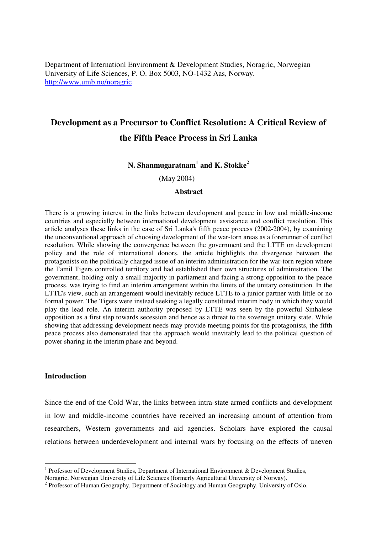Department of Internationl Environment & Development Studies, Noragric, Norwegian University of Life Sciences, P. O. Box 5003, NO-1432 Aas, Norway. http://www.umb.no/noragric

# **Development as a Precursor to Conflict Resolution: A Critical Review of the Fifth Peace Process in Sri Lanka**

## **N. Shanmugaratnam<sup>1</sup> and K. Stokke<sup>2</sup>**

(May 2004)

## **Abstract**

There is a growing interest in the links between development and peace in low and middle-income countries and especially between international development assistance and conflict resolution. This article analyses these links in the case of Sri Lanka's fifth peace process (2002-2004), by examining the unconventional approach of choosing development of the war-torn areas as a forerunner of conflict resolution. While showing the convergence between the government and the LTTE on development policy and the role of international donors, the article highlights the divergence between the protagonists on the politically charged issue of an interim administration for the war-torn region where the Tamil Tigers controlled territory and had established their own structures of administration. The government, holding only a small majority in parliament and facing a strong opposition to the peace process, was trying to find an interim arrangement within the limits of the unitary constitution. In the LTTE's view, such an arrangement would inevitably reduce LTTE to a junior partner with little or no formal power. The Tigers were instead seeking a legally constituted interim body in which they would play the lead role. An interim authority proposed by LTTE was seen by the powerful Sinhalese opposition as a first step towards secession and hence as a threat to the sovereign unitary state. While showing that addressing development needs may provide meeting points for the protagonists, the fifth peace process also demonstrated that the approach would inevitably lead to the political question of power sharing in the interim phase and beyond.

#### **Introduction**

Since the end of the Cold War, the links between intra-state armed conflicts and development in low and middle-income countries have received an increasing amount of attention from researchers, Western governments and aid agencies. Scholars have explored the causal relations between underdevelopment and internal wars by focusing on the effects of uneven

<sup>&</sup>lt;sup>1</sup> Professor of Development Studies, Department of International Environment & Development Studies,

Noragric, Norwegian University of Life Sciences (formerly Agricultural University of Norway).

<sup>&</sup>lt;sup>2</sup> Professor of Human Geography, Department of Sociology and Human Geography, University of Oslo.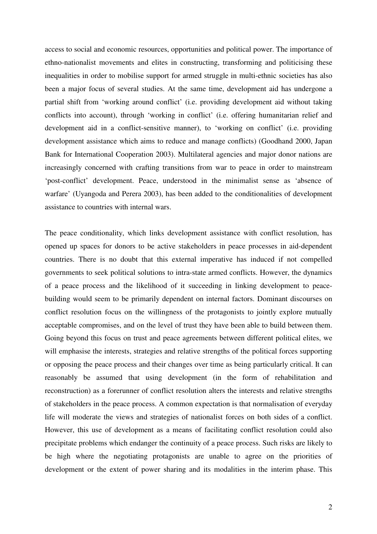access to social and economic resources, opportunities and political power. The importance of ethno-nationalist movements and elites in constructing, transforming and politicising these inequalities in order to mobilise support for armed struggle in multi-ethnic societies has also been a major focus of several studies. At the same time, development aid has undergone a partial shift from 'working around conflict' (i.e. providing development aid without taking conflicts into account), through 'working in conflict' (i.e. offering humanitarian relief and development aid in a conflict-sensitive manner), to 'working on conflict' (i.e. providing development assistance which aims to reduce and manage conflicts) (Goodhand 2000, Japan Bank for International Cooperation 2003). Multilateral agencies and major donor nations are increasingly concerned with crafting transitions from war to peace in order to mainstream 'post-conflict' development. Peace, understood in the minimalist sense as 'absence of warfare' (Uyangoda and Perera 2003), has been added to the conditionalities of development assistance to countries with internal wars.

The peace conditionality, which links development assistance with conflict resolution, has opened up spaces for donors to be active stakeholders in peace processes in aid-dependent countries. There is no doubt that this external imperative has induced if not compelled governments to seek political solutions to intra-state armed conflicts. However, the dynamics of a peace process and the likelihood of it succeeding in linking development to peacebuilding would seem to be primarily dependent on internal factors. Dominant discourses on conflict resolution focus on the willingness of the protagonists to jointly explore mutually acceptable compromises, and on the level of trust they have been able to build between them. Going beyond this focus on trust and peace agreements between different political elites, we will emphasise the interests, strategies and relative strengths of the political forces supporting or opposing the peace process and their changes over time as being particularly critical. It can reasonably be assumed that using development (in the form of rehabilitation and reconstruction) as a forerunner of conflict resolution alters the interests and relative strengths of stakeholders in the peace process. A common expectation is that normalisation of everyday life will moderate the views and strategies of nationalist forces on both sides of a conflict. However, this use of development as a means of facilitating conflict resolution could also precipitate problems which endanger the continuity of a peace process. Such risks are likely to be high where the negotiating protagonists are unable to agree on the priorities of development or the extent of power sharing and its modalities in the interim phase. This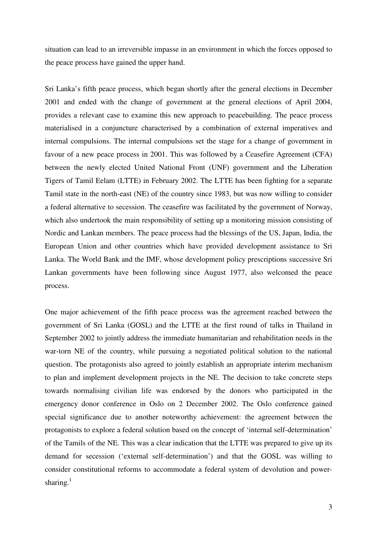situation can lead to an irreversible impasse in an environment in which the forces opposed to the peace process have gained the upper hand.

Sri Lanka's fifth peace process, which began shortly after the general elections in December 2001 and ended with the change of government at the general elections of April 2004, provides a relevant case to examine this new approach to peacebuilding. The peace process materialised in a conjuncture characterised by a combination of external imperatives and internal compulsions. The internal compulsions set the stage for a change of government in favour of a new peace process in 2001. This was followed by a Ceasefire Agreement (CFA) between the newly elected United National Front (UNF) government and the Liberation Tigers of Tamil Eelam (LTTE) in February 2002. The LTTE has been fighting for a separate Tamil state in the north-east (NE) of the country since 1983, but was now willing to consider a federal alternative to secession. The ceasefire was facilitated by the government of Norway, which also undertook the main responsibility of setting up a monitoring mission consisting of Nordic and Lankan members. The peace process had the blessings of the US, Japan, India, the European Union and other countries which have provided development assistance to Sri Lanka. The World Bank and the IMF, whose development policy prescriptions successive Sri Lankan governments have been following since August 1977, also welcomed the peace process.

One major achievement of the fifth peace process was the agreement reached between the government of Sri Lanka (GOSL) and the LTTE at the first round of talks in Thailand in September 2002 to jointly address the immediate humanitarian and rehabilitation needs in the war-torn NE of the country, while pursuing a negotiated political solution to the national question. The protagonists also agreed to jointly establish an appropriate interim mechanism to plan and implement development projects in the NE. The decision to take concrete steps towards normalising civilian life was endorsed by the donors who participated in the emergency donor conference in Oslo on 2 December 2002. The Oslo conference gained special significance due to another noteworthy achievement: the agreement between the protagonists to explore a federal solution based on the concept of 'internal self-determination' of the Tamils of the NE. This was a clear indication that the LTTE was prepared to give up its demand for secession ('external self-determination') and that the GOSL was willing to consider constitutional reforms to accommodate a federal system of devolution and powersharing. $<sup>1</sup>$ </sup>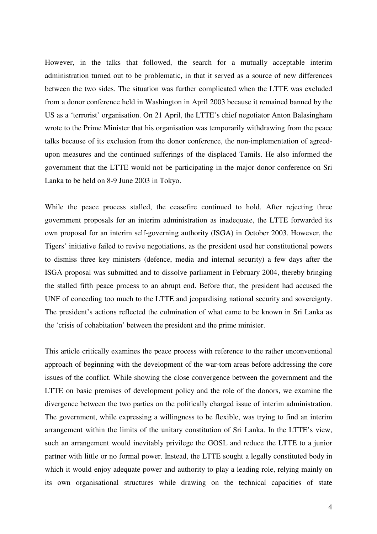However, in the talks that followed, the search for a mutually acceptable interim administration turned out to be problematic, in that it served as a source of new differences between the two sides. The situation was further complicated when the LTTE was excluded from a donor conference held in Washington in April 2003 because it remained banned by the US as a 'terrorist' organisation. On 21 April, the LTTE's chief negotiator Anton Balasingham wrote to the Prime Minister that his organisation was temporarily withdrawing from the peace talks because of its exclusion from the donor conference, the non-implementation of agreedupon measures and the continued sufferings of the displaced Tamils. He also informed the government that the LTTE would not be participating in the major donor conference on Sri Lanka to be held on 8-9 June 2003 in Tokyo.

While the peace process stalled, the ceasefire continued to hold. After rejecting three government proposals for an interim administration as inadequate, the LTTE forwarded its own proposal for an interim self-governing authority (ISGA) in October 2003. However, the Tigers' initiative failed to revive negotiations, as the president used her constitutional powers to dismiss three key ministers (defence, media and internal security) a few days after the ISGA proposal was submitted and to dissolve parliament in February 2004, thereby bringing the stalled fifth peace process to an abrupt end. Before that, the president had accused the UNF of conceding too much to the LTTE and jeopardising national security and sovereignty. The president's actions reflected the culmination of what came to be known in Sri Lanka as the 'crisis of cohabitation' between the president and the prime minister.

This article critically examines the peace process with reference to the rather unconventional approach of beginning with the development of the war-torn areas before addressing the core issues of the conflict. While showing the close convergence between the government and the LTTE on basic premises of development policy and the role of the donors, we examine the divergence between the two parties on the politically charged issue of interim administration. The government, while expressing a willingness to be flexible, was trying to find an interim arrangement within the limits of the unitary constitution of Sri Lanka. In the LTTE's view, such an arrangement would inevitably privilege the GOSL and reduce the LTTE to a junior partner with little or no formal power. Instead, the LTTE sought a legally constituted body in which it would enjoy adequate power and authority to play a leading role, relying mainly on its own organisational structures while drawing on the technical capacities of state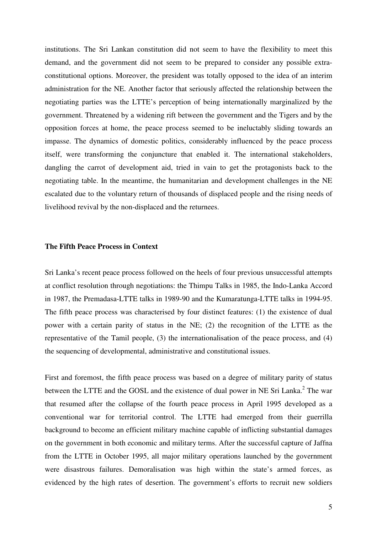institutions. The Sri Lankan constitution did not seem to have the flexibility to meet this demand, and the government did not seem to be prepared to consider any possible extraconstitutional options. Moreover, the president was totally opposed to the idea of an interim administration for the NE. Another factor that seriously affected the relationship between the negotiating parties was the LTTE's perception of being internationally marginalized by the government. Threatened by a widening rift between the government and the Tigers and by the opposition forces at home, the peace process seemed to be ineluctably sliding towards an impasse. The dynamics of domestic politics, considerably influenced by the peace process itself, were transforming the conjuncture that enabled it. The international stakeholders, dangling the carrot of development aid, tried in vain to get the protagonists back to the negotiating table. In the meantime, the humanitarian and development challenges in the NE escalated due to the voluntary return of thousands of displaced people and the rising needs of livelihood revival by the non-displaced and the returnees.

## **The Fifth Peace Process in Context**

Sri Lanka's recent peace process followed on the heels of four previous unsuccessful attempts at conflict resolution through negotiations: the Thimpu Talks in 1985, the Indo-Lanka Accord in 1987, the Premadasa-LTTE talks in 1989-90 and the Kumaratunga-LTTE talks in 1994-95. The fifth peace process was characterised by four distinct features: (1) the existence of dual power with a certain parity of status in the NE; (2) the recognition of the LTTE as the representative of the Tamil people, (3) the internationalisation of the peace process, and (4) the sequencing of developmental, administrative and constitutional issues.

First and foremost, the fifth peace process was based on a degree of military parity of status between the LTTE and the GOSL and the existence of dual power in NE Sri Lanka. $2$  The war that resumed after the collapse of the fourth peace process in April 1995 developed as a conventional war for territorial control. The LTTE had emerged from their guerrilla background to become an efficient military machine capable of inflicting substantial damages on the government in both economic and military terms. After the successful capture of Jaffna from the LTTE in October 1995, all major military operations launched by the government were disastrous failures. Demoralisation was high within the state's armed forces, as evidenced by the high rates of desertion. The government's efforts to recruit new soldiers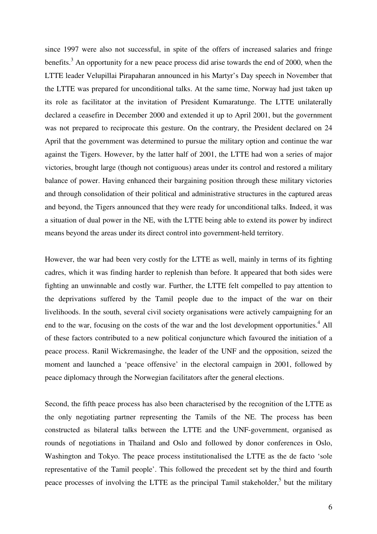since 1997 were also not successful, in spite of the offers of increased salaries and fringe benefits.<sup>3</sup> An opportunity for a new peace process did arise towards the end of 2000, when the LTTE leader Velupillai Pirapaharan announced in his Martyr's Day speech in November that the LTTE was prepared for unconditional talks. At the same time, Norway had just taken up its role as facilitator at the invitation of President Kumaratunge. The LTTE unilaterally declared a ceasefire in December 2000 and extended it up to April 2001, but the government was not prepared to reciprocate this gesture. On the contrary, the President declared on 24 April that the government was determined to pursue the military option and continue the war against the Tigers. However, by the latter half of 2001, the LTTE had won a series of major victories, brought large (though not contiguous) areas under its control and restored a military balance of power. Having enhanced their bargaining position through these military victories and through consolidation of their political and administrative structures in the captured areas and beyond, the Tigers announced that they were ready for unconditional talks. Indeed, it was a situation of dual power in the NE, with the LTTE being able to extend its power by indirect means beyond the areas under its direct control into government-held territory.

However, the war had been very costly for the LTTE as well, mainly in terms of its fighting cadres, which it was finding harder to replenish than before. It appeared that both sides were fighting an unwinnable and costly war. Further, the LTTE felt compelled to pay attention to the deprivations suffered by the Tamil people due to the impact of the war on their livelihoods. In the south, several civil society organisations were actively campaigning for an end to the war, focusing on the costs of the war and the lost development opportunities.<sup>4</sup> All of these factors contributed to a new political conjuncture which favoured the initiation of a peace process. Ranil Wickremasinghe, the leader of the UNF and the opposition, seized the moment and launched a 'peace offensive' in the electoral campaign in 2001, followed by peace diplomacy through the Norwegian facilitators after the general elections.

Second, the fifth peace process has also been characterised by the recognition of the LTTE as the only negotiating partner representing the Tamils of the NE. The process has been constructed as bilateral talks between the LTTE and the UNF-government, organised as rounds of negotiations in Thailand and Oslo and followed by donor conferences in Oslo, Washington and Tokyo. The peace process institutionalised the LTTE as the de facto 'sole representative of the Tamil people'. This followed the precedent set by the third and fourth peace processes of involving the LTTE as the principal Tamil stakeholder,<sup>5</sup> but the military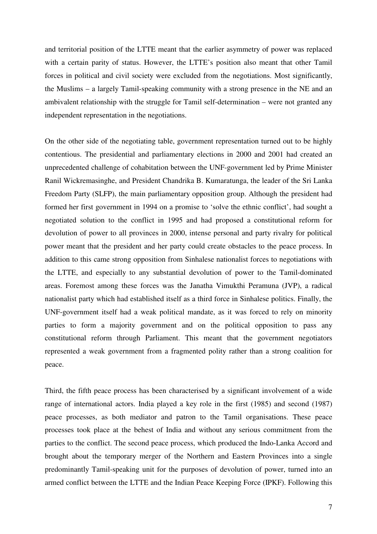and territorial position of the LTTE meant that the earlier asymmetry of power was replaced with a certain parity of status. However, the LTTE's position also meant that other Tamil forces in political and civil society were excluded from the negotiations. Most significantly, the Muslims – a largely Tamil-speaking community with a strong presence in the NE and an ambivalent relationship with the struggle for Tamil self-determination – were not granted any independent representation in the negotiations.

On the other side of the negotiating table, government representation turned out to be highly contentious. The presidential and parliamentary elections in 2000 and 2001 had created an unprecedented challenge of cohabitation between the UNF-government led by Prime Minister Ranil Wickremasinghe, and President Chandrika B. Kumaratunga, the leader of the Sri Lanka Freedom Party (SLFP), the main parliamentary opposition group. Although the president had formed her first government in 1994 on a promise to 'solve the ethnic conflict', had sought a negotiated solution to the conflict in 1995 and had proposed a constitutional reform for devolution of power to all provinces in 2000, intense personal and party rivalry for political power meant that the president and her party could create obstacles to the peace process. In addition to this came strong opposition from Sinhalese nationalist forces to negotiations with the LTTE, and especially to any substantial devolution of power to the Tamil-dominated areas. Foremost among these forces was the Janatha Vimukthi Peramuna (JVP), a radical nationalist party which had established itself as a third force in Sinhalese politics. Finally, the UNF-government itself had a weak political mandate, as it was forced to rely on minority parties to form a majority government and on the political opposition to pass any constitutional reform through Parliament. This meant that the government negotiators represented a weak government from a fragmented polity rather than a strong coalition for peace.

Third, the fifth peace process has been characterised by a significant involvement of a wide range of international actors. India played a key role in the first (1985) and second (1987) peace processes, as both mediator and patron to the Tamil organisations. These peace processes took place at the behest of India and without any serious commitment from the parties to the conflict. The second peace process, which produced the Indo-Lanka Accord and brought about the temporary merger of the Northern and Eastern Provinces into a single predominantly Tamil-speaking unit for the purposes of devolution of power, turned into an armed conflict between the LTTE and the Indian Peace Keeping Force (IPKF). Following this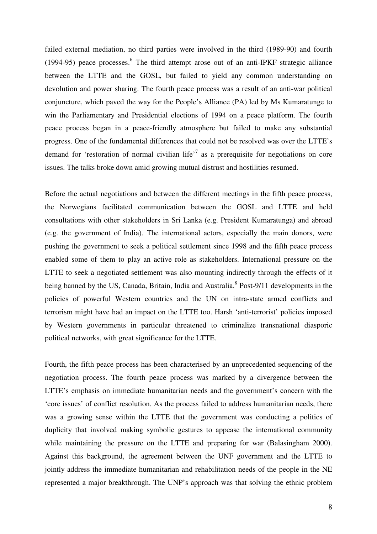failed external mediation, no third parties were involved in the third (1989-90) and fourth  $(1994-95)$  peace processes.<sup>6</sup> The third attempt arose out of an anti-IPKF strategic alliance between the LTTE and the GOSL, but failed to yield any common understanding on devolution and power sharing. The fourth peace process was a result of an anti-war political conjuncture, which paved the way for the People's Alliance (PA) led by Ms Kumaratunge to win the Parliamentary and Presidential elections of 1994 on a peace platform. The fourth peace process began in a peace-friendly atmosphere but failed to make any substantial progress. One of the fundamental differences that could not be resolved was over the LTTE's demand for 'restoration of normal civilian life'<sup>7</sup> as a prerequisite for negotiations on core issues. The talks broke down amid growing mutual distrust and hostilities resumed.

Before the actual negotiations and between the different meetings in the fifth peace process, the Norwegians facilitated communication between the GOSL and LTTE and held consultations with other stakeholders in Sri Lanka (e.g. President Kumaratunga) and abroad (e.g. the government of India). The international actors, especially the main donors, were pushing the government to seek a political settlement since 1998 and the fifth peace process enabled some of them to play an active role as stakeholders. International pressure on the LTTE to seek a negotiated settlement was also mounting indirectly through the effects of it being banned by the US, Canada, Britain, India and Australia.<sup>8</sup> Post-9/11 developments in the policies of powerful Western countries and the UN on intra-state armed conflicts and terrorism might have had an impact on the LTTE too. Harsh 'anti-terrorist' policies imposed by Western governments in particular threatened to criminalize transnational diasporic political networks, with great significance for the LTTE.

Fourth, the fifth peace process has been characterised by an unprecedented sequencing of the negotiation process. The fourth peace process was marked by a divergence between the LTTE's emphasis on immediate humanitarian needs and the government's concern with the 'core issues' of conflict resolution. As the process failed to address humanitarian needs, there was a growing sense within the LTTE that the government was conducting a politics of duplicity that involved making symbolic gestures to appease the international community while maintaining the pressure on the LTTE and preparing for war (Balasingham 2000). Against this background, the agreement between the UNF government and the LTTE to jointly address the immediate humanitarian and rehabilitation needs of the people in the NE represented a major breakthrough. The UNP's approach was that solving the ethnic problem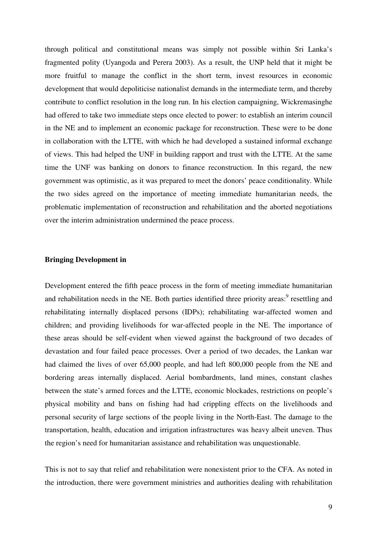through political and constitutional means was simply not possible within Sri Lanka's fragmented polity (Uyangoda and Perera 2003). As a result, the UNP held that it might be more fruitful to manage the conflict in the short term, invest resources in economic development that would depoliticise nationalist demands in the intermediate term, and thereby contribute to conflict resolution in the long run. In his election campaigning, Wickremasinghe had offered to take two immediate steps once elected to power: to establish an interim council in the NE and to implement an economic package for reconstruction. These were to be done in collaboration with the LTTE, with which he had developed a sustained informal exchange of views. This had helped the UNF in building rapport and trust with the LTTE. At the same time the UNF was banking on donors to finance reconstruction. In this regard, the new government was optimistic, as it was prepared to meet the donors' peace conditionality. While the two sides agreed on the importance of meeting immediate humanitarian needs, the problematic implementation of reconstruction and rehabilitation and the aborted negotiations over the interim administration undermined the peace process.

## **Bringing Development in**

Development entered the fifth peace process in the form of meeting immediate humanitarian and rehabilitation needs in the NE. Both parties identified three priority areas:<sup>9</sup> resettling and rehabilitating internally displaced persons (IDPs); rehabilitating war-affected women and children; and providing livelihoods for war-affected people in the NE. The importance of these areas should be self-evident when viewed against the background of two decades of devastation and four failed peace processes. Over a period of two decades, the Lankan war had claimed the lives of over 65,000 people, and had left 800,000 people from the NE and bordering areas internally displaced. Aerial bombardments, land mines, constant clashes between the state's armed forces and the LTTE, economic blockades, restrictions on people's physical mobility and bans on fishing had had crippling effects on the livelihoods and personal security of large sections of the people living in the North-East. The damage to the transportation, health, education and irrigation infrastructures was heavy albeit uneven. Thus the region's need for humanitarian assistance and rehabilitation was unquestionable.

This is not to say that relief and rehabilitation were nonexistent prior to the CFA. As noted in the introduction, there were government ministries and authorities dealing with rehabilitation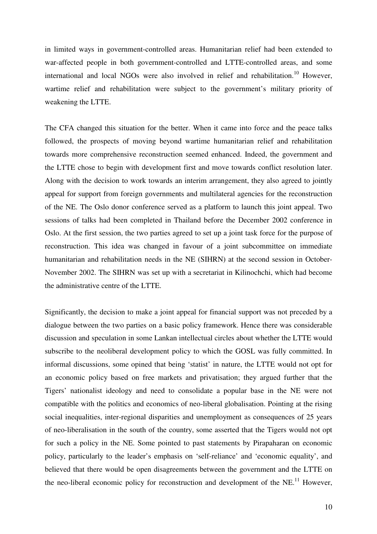in limited ways in government-controlled areas. Humanitarian relief had been extended to war-affected people in both government-controlled and LTTE-controlled areas, and some international and local NGOs were also involved in relief and rehabilitation.<sup>10</sup> However, wartime relief and rehabilitation were subject to the government's military priority of weakening the LTTE.

The CFA changed this situation for the better. When it came into force and the peace talks followed, the prospects of moving beyond wartime humanitarian relief and rehabilitation towards more comprehensive reconstruction seemed enhanced. Indeed, the government and the LTTE chose to begin with development first and move towards conflict resolution later. Along with the decision to work towards an interim arrangement, they also agreed to jointly appeal for support from foreign governments and multilateral agencies for the reconstruction of the NE. The Oslo donor conference served as a platform to launch this joint appeal. Two sessions of talks had been completed in Thailand before the December 2002 conference in Oslo. At the first session, the two parties agreed to set up a joint task force for the purpose of reconstruction. This idea was changed in favour of a joint subcommittee on immediate humanitarian and rehabilitation needs in the NE (SIHRN) at the second session in October-November 2002. The SIHRN was set up with a secretariat in Kilinochchi, which had become the administrative centre of the LTTE.

Significantly, the decision to make a joint appeal for financial support was not preceded by a dialogue between the two parties on a basic policy framework. Hence there was considerable discussion and speculation in some Lankan intellectual circles about whether the LTTE would subscribe to the neoliberal development policy to which the GOSL was fully committed. In informal discussions, some opined that being 'statist' in nature, the LTTE would not opt for an economic policy based on free markets and privatisation; they argued further that the Tigers' nationalist ideology and need to consolidate a popular base in the NE were not compatible with the politics and economics of neo-liberal globalisation. Pointing at the rising social inequalities, inter-regional disparities and unemployment as consequences of 25 years of neo-liberalisation in the south of the country, some asserted that the Tigers would not opt for such a policy in the NE. Some pointed to past statements by Pirapaharan on economic policy, particularly to the leader's emphasis on 'self-reliance' and 'economic equality', and believed that there would be open disagreements between the government and the LTTE on the neo-liberal economic policy for reconstruction and development of the NE.<sup>11</sup> However,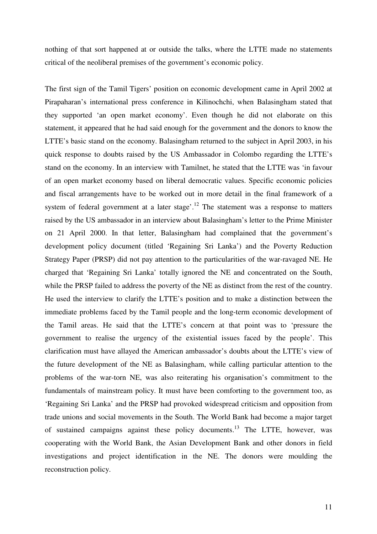nothing of that sort happened at or outside the talks, where the LTTE made no statements critical of the neoliberal premises of the government's economic policy.

The first sign of the Tamil Tigers' position on economic development came in April 2002 at Pirapaharan's international press conference in Kilinochchi, when Balasingham stated that they supported 'an open market economy'. Even though he did not elaborate on this statement, it appeared that he had said enough for the government and the donors to know the LTTE's basic stand on the economy. Balasingham returned to the subject in April 2003, in his quick response to doubts raised by the US Ambassador in Colombo regarding the LTTE's stand on the economy. In an interview with Tamilnet, he stated that the LTTE was 'in favour of an open market economy based on liberal democratic values. Specific economic policies and fiscal arrangements have to be worked out in more detail in the final framework of a system of federal government at a later stage'.<sup>12</sup> The statement was a response to matters raised by the US ambassador in an interview about Balasingham's letter to the Prime Minister on 21 April 2000. In that letter, Balasingham had complained that the government's development policy document (titled 'Regaining Sri Lanka') and the Poverty Reduction Strategy Paper (PRSP) did not pay attention to the particularities of the war-ravaged NE. He charged that 'Regaining Sri Lanka' totally ignored the NE and concentrated on the South, while the PRSP failed to address the poverty of the NE as distinct from the rest of the country. He used the interview to clarify the LTTE's position and to make a distinction between the immediate problems faced by the Tamil people and the long-term economic development of the Tamil areas. He said that the LTTE's concern at that point was to 'pressure the government to realise the urgency of the existential issues faced by the people'. This clarification must have allayed the American ambassador's doubts about the LTTE's view of the future development of the NE as Balasingham, while calling particular attention to the problems of the war-torn NE, was also reiterating his organisation's commitment to the fundamentals of mainstream policy. It must have been comforting to the government too, as 'Regaining Sri Lanka' and the PRSP had provoked widespread criticism and opposition from trade unions and social movements in the South. The World Bank had become a major target of sustained campaigns against these policy documents.<sup>13</sup> The LTTE, however, was cooperating with the World Bank, the Asian Development Bank and other donors in field investigations and project identification in the NE. The donors were moulding the reconstruction policy.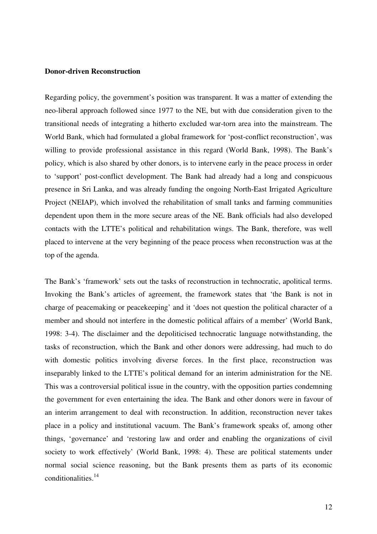#### **Donor-driven Reconstruction**

Regarding policy, the government's position was transparent. It was a matter of extending the neo-liberal approach followed since 1977 to the NE, but with due consideration given to the transitional needs of integrating a hitherto excluded war-torn area into the mainstream. The World Bank, which had formulated a global framework for 'post-conflict reconstruction', was willing to provide professional assistance in this regard (World Bank, 1998). The Bank's policy, which is also shared by other donors, is to intervene early in the peace process in order to 'support' post-conflict development. The Bank had already had a long and conspicuous presence in Sri Lanka, and was already funding the ongoing North-East Irrigated Agriculture Project (NEIAP), which involved the rehabilitation of small tanks and farming communities dependent upon them in the more secure areas of the NE. Bank officials had also developed contacts with the LTTE's political and rehabilitation wings. The Bank, therefore, was well placed to intervene at the very beginning of the peace process when reconstruction was at the top of the agenda.

The Bank's 'framework' sets out the tasks of reconstruction in technocratic, apolitical terms. Invoking the Bank's articles of agreement, the framework states that 'the Bank is not in charge of peacemaking or peacekeeping' and it 'does not question the political character of a member and should not interfere in the domestic political affairs of a member' (World Bank, 1998: 3-4). The disclaimer and the depoliticised technocratic language notwithstanding, the tasks of reconstruction, which the Bank and other donors were addressing, had much to do with domestic politics involving diverse forces. In the first place, reconstruction was inseparably linked to the LTTE's political demand for an interim administration for the NE. This was a controversial political issue in the country, with the opposition parties condemning the government for even entertaining the idea. The Bank and other donors were in favour of an interim arrangement to deal with reconstruction. In addition, reconstruction never takes place in a policy and institutional vacuum. The Bank's framework speaks of, among other things, 'governance' and 'restoring law and order and enabling the organizations of civil society to work effectively' (World Bank, 1998: 4). These are political statements under normal social science reasoning, but the Bank presents them as parts of its economic conditionalities. $14$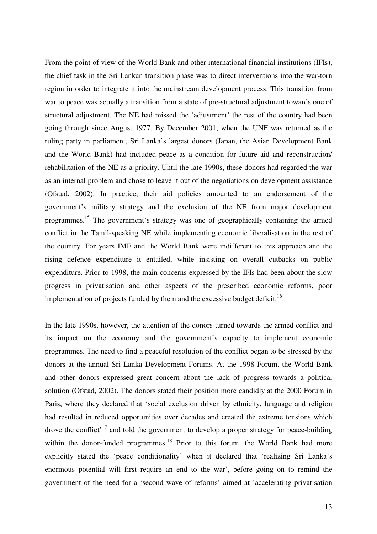From the point of view of the World Bank and other international financial institutions (IFIs), the chief task in the Sri Lankan transition phase was to direct interventions into the war-torn region in order to integrate it into the mainstream development process. This transition from war to peace was actually a transition from a state of pre-structural adjustment towards one of structural adjustment. The NE had missed the 'adjustment' the rest of the country had been going through since August 1977. By December 2001, when the UNF was returned as the ruling party in parliament, Sri Lanka's largest donors (Japan, the Asian Development Bank and the World Bank) had included peace as a condition for future aid and reconstruction/ rehabilitation of the NE as a priority. Until the late 1990s, these donors had regarded the war as an internal problem and chose to leave it out of the negotiations on development assistance (Ofstad, 2002). In practice, their aid policies amounted to an endorsement of the government's military strategy and the exclusion of the NE from major development programmes.<sup>15</sup> The government's strategy was one of geographically containing the armed conflict in the Tamil-speaking NE while implementing economic liberalisation in the rest of the country. For years IMF and the World Bank were indifferent to this approach and the rising defence expenditure it entailed, while insisting on overall cutbacks on public expenditure. Prior to 1998, the main concerns expressed by the IFIs had been about the slow progress in privatisation and other aspects of the prescribed economic reforms, poor implementation of projects funded by them and the excessive budget deficit.<sup>16</sup>

In the late 1990s, however, the attention of the donors turned towards the armed conflict and its impact on the economy and the government's capacity to implement economic programmes. The need to find a peaceful resolution of the conflict began to be stressed by the donors at the annual Sri Lanka Development Forums. At the 1998 Forum, the World Bank and other donors expressed great concern about the lack of progress towards a political solution (Ofstad, 2002). The donors stated their position more candidly at the 2000 Forum in Paris, where they declared that 'social exclusion driven by ethnicity, language and religion had resulted in reduced opportunities over decades and created the extreme tensions which drove the conflict<sup> $17$ </sup> and told the government to develop a proper strategy for peace-building within the donor-funded programmes.<sup>18</sup> Prior to this forum, the World Bank had more explicitly stated the 'peace conditionality' when it declared that 'realizing Sri Lanka's enormous potential will first require an end to the war', before going on to remind the government of the need for a 'second wave of reforms' aimed at 'accelerating privatisation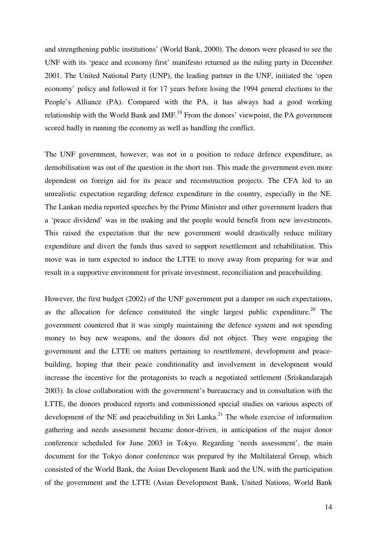and strengthening public institutions' (World Bank, 2000). The donors were pleased to see the UNF with its 'peace and economy first' manifesto returned as the ruling party in December 2001. The United National Party (UNP), the leading partner in the UNF, initiated the 'open economy' policy and followed it for 17 years before losing the 1994 general elections to the People's Alliance (PA). Compared with the PA, it has always had a good working relationship with the World Bank and IMF.<sup>19</sup> From the donors' viewpoint, the PA government scored badly in running the economy as well as handling the conflict.

The UNF government, however, was not in a position to reduce defence expenditure, as demobilisation was out of the question in the short run. This made the government even more dependent on foreign aid for its peace and reconstruction projects. The CFA led to an unrealistic expectation regarding defence expenditure in the country, especially in the NE. The Lankan media reported speeches by the Prime Minister and other government leaders that a 'peace dividend' was in the making and the people would benefit from new investments. This raised the expectation that the new government would drastically reduce military expenditure and divert the funds thus saved to support resettlement and rehabilitation. This move was in turn expected to induce the LTTE to move away from preparing for war and result in a supportive environment for private investment, reconciliation and peacebuilding.

However, the first budget (2002) of the UNF government put a damper on such expectations, as the allocation for defence constituted the single largest public expenditure.<sup>20</sup> The government countered that it was simply maintaining the defence system and not spending money to buy new weapons, and the donors did not object. They were engaging the government and the LTTE on matters pertaining to resettlement, development and peacebuilding, hoping that their peace conditionality and involvement in development would increase the incentive for the protagonists to reach a negotiated settlement (Sriskandarajah 2003). In close collaboration with the government's bureaucracy and in consultation with the LTTE, the donors produced reports and commissioned special studies on various aspects of development of the NE and peacebuilding in Sri Lanka.<sup>21</sup> The whole exercise of information gathering and needs assessment became donor-driven, in anticipation of the major donor conference scheduled for June 2003 in Tokyo. Regarding 'needs assessment', the main document for the Tokyo donor conference was prepared by the Multilateral Group, which consisted of the World Bank, the Asian Development Bank and the UN, with the participation of the government and the LTTE (Asian Development Bank, United Nations, World Bank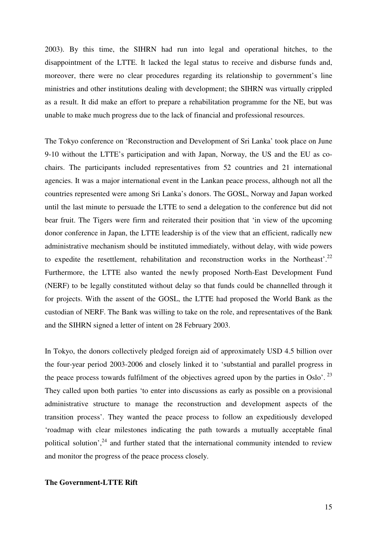2003). By this time, the SIHRN had run into legal and operational hitches, to the disappointment of the LTTE. It lacked the legal status to receive and disburse funds and, moreover, there were no clear procedures regarding its relationship to government's line ministries and other institutions dealing with development; the SIHRN was virtually crippled as a result. It did make an effort to prepare a rehabilitation programme for the NE, but was unable to make much progress due to the lack of financial and professional resources.

The Tokyo conference on 'Reconstruction and Development of Sri Lanka' took place on June 9-10 without the LTTE's participation and with Japan, Norway, the US and the EU as cochairs. The participants included representatives from 52 countries and 21 international agencies. It was a major international event in the Lankan peace process, although not all the countries represented were among Sri Lanka's donors. The GOSL, Norway and Japan worked until the last minute to persuade the LTTE to send a delegation to the conference but did not bear fruit. The Tigers were firm and reiterated their position that 'in view of the upcoming donor conference in Japan, the LTTE leadership is of the view that an efficient, radically new administrative mechanism should be instituted immediately, without delay, with wide powers to expedite the resettlement, rehabilitation and reconstruction works in the Northeast'.<sup>22</sup> Furthermore, the LTTE also wanted the newly proposed North-East Development Fund (NERF) to be legally constituted without delay so that funds could be channelled through it for projects. With the assent of the GOSL, the LTTE had proposed the World Bank as the custodian of NERF. The Bank was willing to take on the role, and representatives of the Bank and the SIHRN signed a letter of intent on 28 February 2003.

In Tokyo, the donors collectively pledged foreign aid of approximately USD 4.5 billion over the four-year period 2003-2006 and closely linked it to 'substantial and parallel progress in the peace process towards fulfilment of the objectives agreed upon by the parties in Oslo'.<sup>23</sup> They called upon both parties 'to enter into discussions as early as possible on a provisional administrative structure to manage the reconstruction and development aspects of the transition process'. They wanted the peace process to follow an expeditiously developed 'roadmap with clear milestones indicating the path towards a mutually acceptable final political solution',  $24$  and further stated that the international community intended to review and monitor the progress of the peace process closely.

## **The Government-LTTE Rift**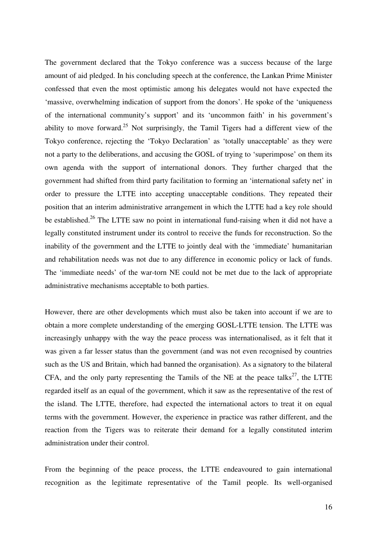The government declared that the Tokyo conference was a success because of the large amount of aid pledged. In his concluding speech at the conference, the Lankan Prime Minister confessed that even the most optimistic among his delegates would not have expected the 'massive, overwhelming indication of support from the donors'. He spoke of the 'uniqueness of the international community's support' and its 'uncommon faith' in his government's ability to move forward.<sup>25</sup> Not surprisingly, the Tamil Tigers had a different view of the Tokyo conference, rejecting the 'Tokyo Declaration' as 'totally unacceptable' as they were not a party to the deliberations, and accusing the GOSL of trying to 'superimpose' on them its own agenda with the support of international donors. They further charged that the government had shifted from third party facilitation to forming an 'international safety net' in order to pressure the LTTE into accepting unacceptable conditions. They repeated their position that an interim administrative arrangement in which the LTTE had a key role should be established.<sup>26</sup> The LTTE saw no point in international fund-raising when it did not have a legally constituted instrument under its control to receive the funds for reconstruction. So the inability of the government and the LTTE to jointly deal with the 'immediate' humanitarian and rehabilitation needs was not due to any difference in economic policy or lack of funds. The 'immediate needs' of the war-torn NE could not be met due to the lack of appropriate administrative mechanisms acceptable to both parties.

However, there are other developments which must also be taken into account if we are to obtain a more complete understanding of the emerging GOSL-LTTE tension. The LTTE was increasingly unhappy with the way the peace process was internationalised, as it felt that it was given a far lesser status than the government (and was not even recognised by countries such as the US and Britain, which had banned the organisation). As a signatory to the bilateral CFA, and the only party representing the Tamils of the NE at the peace talks<sup>27</sup>, the LTTE regarded itself as an equal of the government, which it saw as the representative of the rest of the island. The LTTE, therefore, had expected the international actors to treat it on equal terms with the government. However, the experience in practice was rather different, and the reaction from the Tigers was to reiterate their demand for a legally constituted interim administration under their control.

From the beginning of the peace process, the LTTE endeavoured to gain international recognition as the legitimate representative of the Tamil people. Its well-organised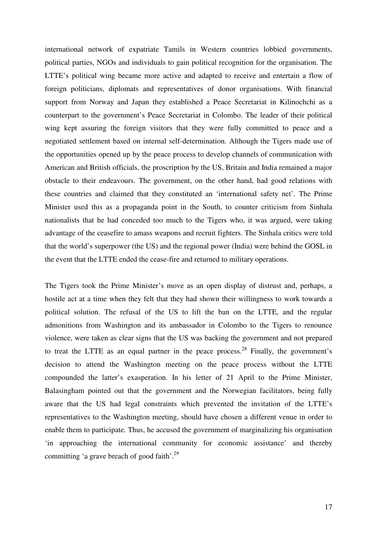international network of expatriate Tamils in Western countries lobbied governments, political parties, NGOs and individuals to gain political recognition for the organisation. The LTTE's political wing became more active and adapted to receive and entertain a flow of foreign politicians, diplomats and representatives of donor organisations. With financial support from Norway and Japan they established a Peace Secretariat in Kilinochchi as a counterpart to the government's Peace Secretariat in Colombo. The leader of their political wing kept assuring the foreign visitors that they were fully committed to peace and a negotiated settlement based on internal self-determination. Although the Tigers made use of the opportunities opened up by the peace process to develop channels of communication with American and British officials, the proscription by the US, Britain and India remained a major obstacle to their endeavours. The government, on the other hand, had good relations with these countries and claimed that they constituted an 'international safety net'. The Prime Minister used this as a propaganda point in the South, to counter criticism from Sinhala nationalists that he had conceded too much to the Tigers who, it was argued, were taking advantage of the ceasefire to amass weapons and recruit fighters. The Sinhala critics were told that the world's superpower (the US) and the regional power (India) were behind the GOSL in the event that the LTTE ended the cease-fire and returned to military operations.

The Tigers took the Prime Minister's move as an open display of distrust and, perhaps, a hostile act at a time when they felt that they had shown their willingness to work towards a political solution. The refusal of the US to lift the ban on the LTTE, and the regular admonitions from Washington and its ambassador in Colombo to the Tigers to renounce violence, were taken as clear signs that the US was backing the government and not prepared to treat the LTTE as an equal partner in the peace process.<sup>28</sup> Finally, the government's decision to attend the Washington meeting on the peace process without the LTTE compounded the latter's exasperation. In his letter of 21 April to the Prime Minister, Balasingham pointed out that the government and the Norwegian facilitators, being fully aware that the US had legal constraints which prevented the invitation of the LTTE's representatives to the Washington meeting, should have chosen a different venue in order to enable them to participate. Thus, he accused the government of marginalizing his organisation 'in approaching the international community for economic assistance' and thereby committing 'a grave breach of good faith'.<sup>29</sup>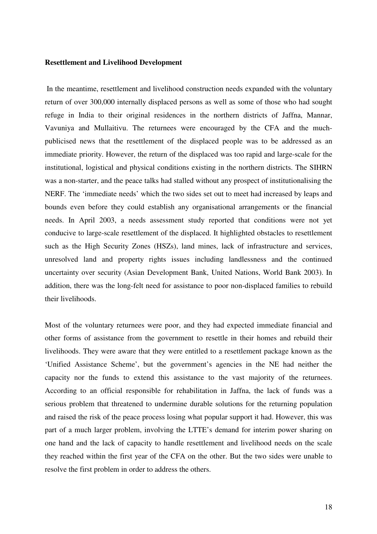## **Resettlement and Livelihood Development**

 In the meantime, resettlement and livelihood construction needs expanded with the voluntary return of over 300,000 internally displaced persons as well as some of those who had sought refuge in India to their original residences in the northern districts of Jaffna, Mannar, Vavuniya and Mullaitivu. The returnees were encouraged by the CFA and the muchpublicised news that the resettlement of the displaced people was to be addressed as an immediate priority. However, the return of the displaced was too rapid and large-scale for the institutional, logistical and physical conditions existing in the northern districts. The SIHRN was a non-starter, and the peace talks had stalled without any prospect of institutionalising the NERF. The 'immediate needs' which the two sides set out to meet had increased by leaps and bounds even before they could establish any organisational arrangements or the financial needs. In April 2003, a needs assessment study reported that conditions were not yet conducive to large-scale resettlement of the displaced. It highlighted obstacles to resettlement such as the High Security Zones (HSZs), land mines, lack of infrastructure and services, unresolved land and property rights issues including landlessness and the continued uncertainty over security (Asian Development Bank, United Nations, World Bank 2003). In addition, there was the long-felt need for assistance to poor non-displaced families to rebuild their livelihoods.

Most of the voluntary returnees were poor, and they had expected immediate financial and other forms of assistance from the government to resettle in their homes and rebuild their livelihoods. They were aware that they were entitled to a resettlement package known as the 'Unified Assistance Scheme', but the government's agencies in the NE had neither the capacity nor the funds to extend this assistance to the vast majority of the returnees. According to an official responsible for rehabilitation in Jaffna, the lack of funds was a serious problem that threatened to undermine durable solutions for the returning population and raised the risk of the peace process losing what popular support it had. However, this was part of a much larger problem, involving the LTTE's demand for interim power sharing on one hand and the lack of capacity to handle resettlement and livelihood needs on the scale they reached within the first year of the CFA on the other. But the two sides were unable to resolve the first problem in order to address the others.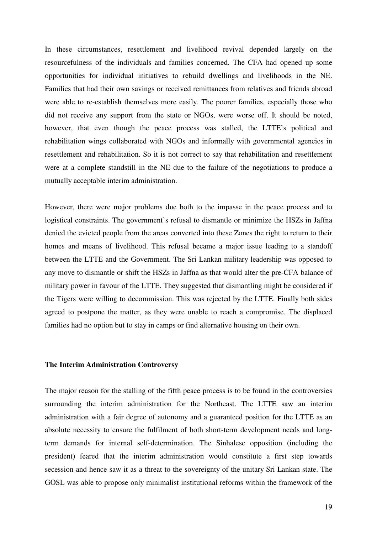In these circumstances, resettlement and livelihood revival depended largely on the resourcefulness of the individuals and families concerned. The CFA had opened up some opportunities for individual initiatives to rebuild dwellings and livelihoods in the NE. Families that had their own savings or received remittances from relatives and friends abroad were able to re-establish themselves more easily. The poorer families, especially those who did not receive any support from the state or NGOs, were worse off. It should be noted, however, that even though the peace process was stalled, the LTTE's political and rehabilitation wings collaborated with NGOs and informally with governmental agencies in resettlement and rehabilitation. So it is not correct to say that rehabilitation and resettlement were at a complete standstill in the NE due to the failure of the negotiations to produce a mutually acceptable interim administration.

However, there were major problems due both to the impasse in the peace process and to logistical constraints. The government's refusal to dismantle or minimize the HSZs in Jaffna denied the evicted people from the areas converted into these Zones the right to return to their homes and means of livelihood. This refusal became a major issue leading to a standoff between the LTTE and the Government. The Sri Lankan military leadership was opposed to any move to dismantle or shift the HSZs in Jaffna as that would alter the pre-CFA balance of military power in favour of the LTTE. They suggested that dismantling might be considered if the Tigers were willing to decommission. This was rejected by the LTTE. Finally both sides agreed to postpone the matter, as they were unable to reach a compromise. The displaced families had no option but to stay in camps or find alternative housing on their own.

## **The Interim Administration Controversy**

The major reason for the stalling of the fifth peace process is to be found in the controversies surrounding the interim administration for the Northeast. The LTTE saw an interim administration with a fair degree of autonomy and a guaranteed position for the LTTE as an absolute necessity to ensure the fulfilment of both short-term development needs and longterm demands for internal self-determination. The Sinhalese opposition (including the president) feared that the interim administration would constitute a first step towards secession and hence saw it as a threat to the sovereignty of the unitary Sri Lankan state. The GOSL was able to propose only minimalist institutional reforms within the framework of the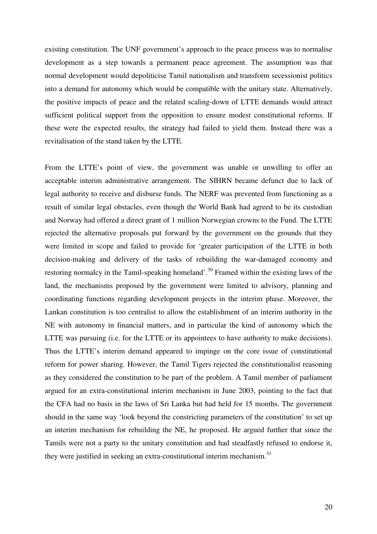existing constitution. The UNF government's approach to the peace process was to normalise development as a step towards a permanent peace agreement. The assumption was that normal development would depoliticise Tamil nationalism and transform secessionist politics into a demand for autonomy which would be compatible with the unitary state. Alternatively, the positive impacts of peace and the related scaling-down of LTTE demands would attract sufficient political support from the opposition to ensure modest constitutional reforms. If these were the expected results, the strategy had failed to yield them. Instead there was a revitalisation of the stand taken by the LTTE.

From the LTTE's point of view, the government was unable or unwilling to offer an acceptable interim administrative arrangement. The SIHRN became defunct due to lack of legal authority to receive and disburse funds. The NERF was prevented from functioning as a result of similar legal obstacles, even though the World Bank had agreed to be its custodian and Norway had offered a direct grant of 1 million Norwegian crowns to the Fund. The LTTE rejected the alternative proposals put forward by the government on the grounds that they were limited in scope and failed to provide for 'greater participation of the LTTE in both decision-making and delivery of the tasks of rebuilding the war-damaged economy and restoring normalcy in the Tamil-speaking homeland'.<sup>30</sup> Framed within the existing laws of the land, the mechanisms proposed by the government were limited to advisory, planning and coordinating functions regarding development projects in the interim phase. Moreover, the Lankan constitution is too centralist to allow the establishment of an interim authority in the NE with autonomy in financial matters, and in particular the kind of autonomy which the LTTE was pursuing (i.e. for the LTTE or its appointees to have authority to make decisions). Thus the LTTE's interim demand appeared to impinge on the core issue of constitutional reform for power sharing. However, the Tamil Tigers rejected the constitutionalist reasoning as they considered the constitution to be part of the problem. A Tamil member of parliament argued for an extra-constitutional interim mechanism in June 2003, pointing to the fact that the CFA had no basis in the laws of Sri Lanka but had held for 15 months. The government should in the same way 'look beyond the constricting parameters of the constitution' to set up an interim mechanism for rebuilding the NE, he proposed. He argued further that since the Tamils were not a party to the unitary constitution and had steadfastly refused to endorse it, they were justified in seeking an extra-constitutional interim mechanism.<sup>31</sup>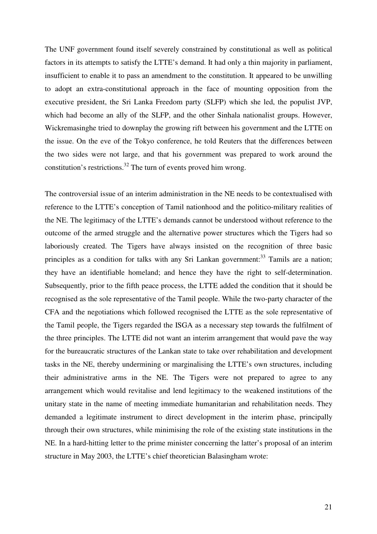The UNF government found itself severely constrained by constitutional as well as political factors in its attempts to satisfy the LTTE's demand. It had only a thin majority in parliament, insufficient to enable it to pass an amendment to the constitution. It appeared to be unwilling to adopt an extra-constitutional approach in the face of mounting opposition from the executive president, the Sri Lanka Freedom party (SLFP) which she led, the populist JVP, which had become an ally of the SLFP, and the other Sinhala nationalist groups. However, Wickremasinghe tried to downplay the growing rift between his government and the LTTE on the issue. On the eve of the Tokyo conference, he told Reuters that the differences between the two sides were not large, and that his government was prepared to work around the constitution's restrictions.<sup>32</sup> The turn of events proved him wrong.

The controversial issue of an interim administration in the NE needs to be contextualised with reference to the LTTE's conception of Tamil nationhood and the politico-military realities of the NE. The legitimacy of the LTTE's demands cannot be understood without reference to the outcome of the armed struggle and the alternative power structures which the Tigers had so laboriously created. The Tigers have always insisted on the recognition of three basic principles as a condition for talks with any Sri Lankan government:<sup>33</sup> Tamils are a nation; they have an identifiable homeland; and hence they have the right to self-determination. Subsequently, prior to the fifth peace process, the LTTE added the condition that it should be recognised as the sole representative of the Tamil people. While the two-party character of the CFA and the negotiations which followed recognised the LTTE as the sole representative of the Tamil people, the Tigers regarded the ISGA as a necessary step towards the fulfilment of the three principles. The LTTE did not want an interim arrangement that would pave the way for the bureaucratic structures of the Lankan state to take over rehabilitation and development tasks in the NE, thereby undermining or marginalising the LTTE's own structures, including their administrative arms in the NE. The Tigers were not prepared to agree to any arrangement which would revitalise and lend legitimacy to the weakened institutions of the unitary state in the name of meeting immediate humanitarian and rehabilitation needs. They demanded a legitimate instrument to direct development in the interim phase, principally through their own structures, while minimising the role of the existing state institutions in the NE. In a hard-hitting letter to the prime minister concerning the latter's proposal of an interim structure in May 2003, the LTTE's chief theoretician Balasingham wrote: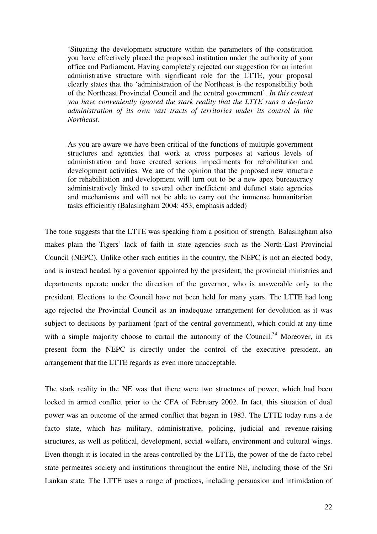'Situating the development structure within the parameters of the constitution you have effectively placed the proposed institution under the authority of your office and Parliament. Having completely rejected our suggestion for an interim administrative structure with significant role for the LTTE, your proposal clearly states that the 'administration of the Northeast is the responsibility both of the Northeast Provincial Council and the central government'. *In this context you have conveniently ignored the stark reality that the LTTE runs a de-facto administration of its own vast tracts of territories under its control in the Northeast.* 

As you are aware we have been critical of the functions of multiple government structures and agencies that work at cross purposes at various levels of administration and have created serious impediments for rehabilitation and development activities. We are of the opinion that the proposed new structure for rehabilitation and development will turn out to be a new apex bureaucracy administratively linked to several other inefficient and defunct state agencies and mechanisms and will not be able to carry out the immense humanitarian tasks efficiently (Balasingham 2004: 453, emphasis added)

The tone suggests that the LTTE was speaking from a position of strength. Balasingham also makes plain the Tigers' lack of faith in state agencies such as the North-East Provincial Council (NEPC). Unlike other such entities in the country, the NEPC is not an elected body, and is instead headed by a governor appointed by the president; the provincial ministries and departments operate under the direction of the governor, who is answerable only to the president. Elections to the Council have not been held for many years. The LTTE had long ago rejected the Provincial Council as an inadequate arrangement for devolution as it was subject to decisions by parliament (part of the central government), which could at any time with a simple majority choose to curtail the autonomy of the Council.<sup>34</sup> Moreover, in its present form the NEPC is directly under the control of the executive president, an arrangement that the LTTE regards as even more unacceptable.

The stark reality in the NE was that there were two structures of power, which had been locked in armed conflict prior to the CFA of February 2002. In fact, this situation of dual power was an outcome of the armed conflict that began in 1983. The LTTE today runs a de facto state, which has military, administrative, policing, judicial and revenue-raising structures, as well as political, development, social welfare, environment and cultural wings. Even though it is located in the areas controlled by the LTTE, the power of the de facto rebel state permeates society and institutions throughout the entire NE, including those of the Sri Lankan state. The LTTE uses a range of practices, including persuasion and intimidation of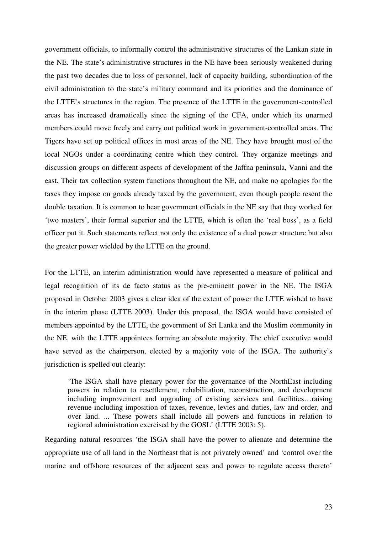government officials, to informally control the administrative structures of the Lankan state in the NE. The state's administrative structures in the NE have been seriously weakened during the past two decades due to loss of personnel, lack of capacity building, subordination of the civil administration to the state's military command and its priorities and the dominance of the LTTE's structures in the region. The presence of the LTTE in the government-controlled areas has increased dramatically since the signing of the CFA, under which its unarmed members could move freely and carry out political work in government-controlled areas. The Tigers have set up political offices in most areas of the NE. They have brought most of the local NGOs under a coordinating centre which they control. They organize meetings and discussion groups on different aspects of development of the Jaffna peninsula, Vanni and the east. Their tax collection system functions throughout the NE, and make no apologies for the taxes they impose on goods already taxed by the government, even though people resent the double taxation. It is common to hear government officials in the NE say that they worked for 'two masters', their formal superior and the LTTE, which is often the 'real boss', as a field officer put it. Such statements reflect not only the existence of a dual power structure but also the greater power wielded by the LTTE on the ground.

For the LTTE, an interim administration would have represented a measure of political and legal recognition of its de facto status as the pre-eminent power in the NE. The ISGA proposed in October 2003 gives a clear idea of the extent of power the LTTE wished to have in the interim phase (LTTE 2003). Under this proposal, the ISGA would have consisted of members appointed by the LTTE, the government of Sri Lanka and the Muslim community in the NE, with the LTTE appointees forming an absolute majority. The chief executive would have served as the chairperson, elected by a majority vote of the ISGA. The authority's jurisdiction is spelled out clearly:

'The ISGA shall have plenary power for the governance of the NorthEast including powers in relation to resettlement, rehabilitation, reconstruction, and development including improvement and upgrading of existing services and facilities…raising revenue including imposition of taxes, revenue, levies and duties, law and order, and over land. ... These powers shall include all powers and functions in relation to regional administration exercised by the GOSL' (LTTE 2003: 5).

Regarding natural resources 'the ISGA shall have the power to alienate and determine the appropriate use of all land in the Northeast that is not privately owned' and 'control over the marine and offshore resources of the adjacent seas and power to regulate access thereto'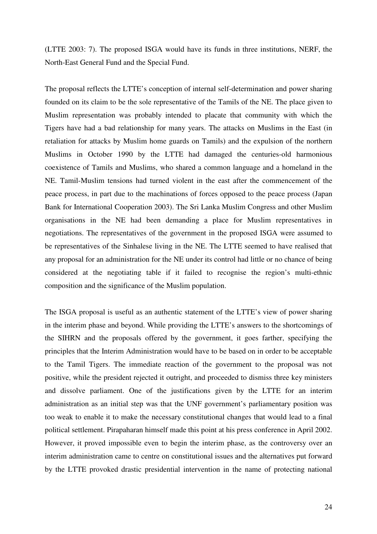(LTTE 2003: 7). The proposed ISGA would have its funds in three institutions, NERF, the North-East General Fund and the Special Fund.

The proposal reflects the LTTE's conception of internal self-determination and power sharing founded on its claim to be the sole representative of the Tamils of the NE. The place given to Muslim representation was probably intended to placate that community with which the Tigers have had a bad relationship for many years. The attacks on Muslims in the East (in retaliation for attacks by Muslim home guards on Tamils) and the expulsion of the northern Muslims in October 1990 by the LTTE had damaged the centuries-old harmonious coexistence of Tamils and Muslims, who shared a common language and a homeland in the NE. Tamil-Muslim tensions had turned violent in the east after the commencement of the peace process, in part due to the machinations of forces opposed to the peace process (Japan Bank for International Cooperation 2003). The Sri Lanka Muslim Congress and other Muslim organisations in the NE had been demanding a place for Muslim representatives in negotiations. The representatives of the government in the proposed ISGA were assumed to be representatives of the Sinhalese living in the NE. The LTTE seemed to have realised that any proposal for an administration for the NE under its control had little or no chance of being considered at the negotiating table if it failed to recognise the region's multi-ethnic composition and the significance of the Muslim population.

The ISGA proposal is useful as an authentic statement of the LTTE's view of power sharing in the interim phase and beyond. While providing the LTTE's answers to the shortcomings of the SIHRN and the proposals offered by the government, it goes farther, specifying the principles that the Interim Administration would have to be based on in order to be acceptable to the Tamil Tigers. The immediate reaction of the government to the proposal was not positive, while the president rejected it outright, and proceeded to dismiss three key ministers and dissolve parliament. One of the justifications given by the LTTE for an interim administration as an initial step was that the UNF government's parliamentary position was too weak to enable it to make the necessary constitutional changes that would lead to a final political settlement. Pirapaharan himself made this point at his press conference in April 2002. However, it proved impossible even to begin the interim phase, as the controversy over an interim administration came to centre on constitutional issues and the alternatives put forward by the LTTE provoked drastic presidential intervention in the name of protecting national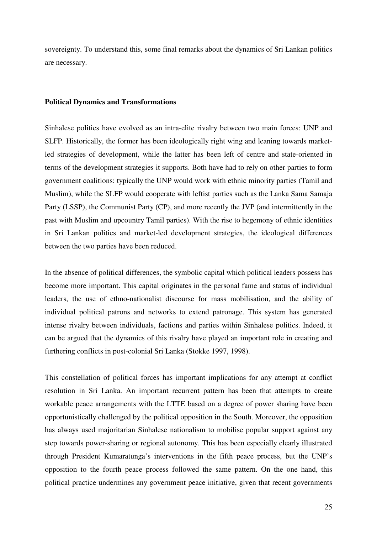sovereignty. To understand this, some final remarks about the dynamics of Sri Lankan politics are necessary.

## **Political Dynamics and Transformations**

Sinhalese politics have evolved as an intra-elite rivalry between two main forces: UNP and SLFP. Historically, the former has been ideologically right wing and leaning towards marketled strategies of development, while the latter has been left of centre and state-oriented in terms of the development strategies it supports. Both have had to rely on other parties to form government coalitions: typically the UNP would work with ethnic minority parties (Tamil and Muslim), while the SLFP would cooperate with leftist parties such as the Lanka Sama Samaja Party (LSSP), the Communist Party (CP), and more recently the JVP (and intermittently in the past with Muslim and upcountry Tamil parties). With the rise to hegemony of ethnic identities in Sri Lankan politics and market-led development strategies, the ideological differences between the two parties have been reduced.

In the absence of political differences, the symbolic capital which political leaders possess has become more important. This capital originates in the personal fame and status of individual leaders, the use of ethno-nationalist discourse for mass mobilisation, and the ability of individual political patrons and networks to extend patronage. This system has generated intense rivalry between individuals, factions and parties within Sinhalese politics. Indeed, it can be argued that the dynamics of this rivalry have played an important role in creating and furthering conflicts in post-colonial Sri Lanka (Stokke 1997, 1998).

This constellation of political forces has important implications for any attempt at conflict resolution in Sri Lanka. An important recurrent pattern has been that attempts to create workable peace arrangements with the LTTE based on a degree of power sharing have been opportunistically challenged by the political opposition in the South. Moreover, the opposition has always used majoritarian Sinhalese nationalism to mobilise popular support against any step towards power-sharing or regional autonomy. This has been especially clearly illustrated through President Kumaratunga's interventions in the fifth peace process, but the UNP's opposition to the fourth peace process followed the same pattern. On the one hand, this political practice undermines any government peace initiative, given that recent governments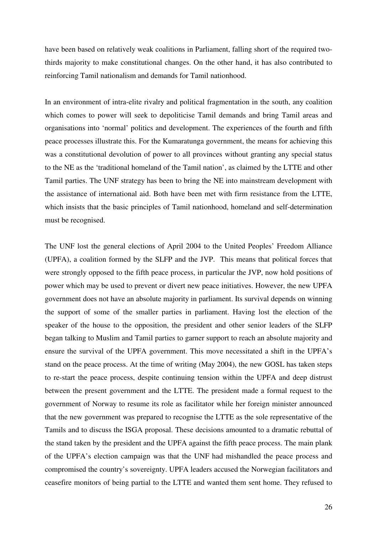have been based on relatively weak coalitions in Parliament, falling short of the required twothirds majority to make constitutional changes. On the other hand, it has also contributed to reinforcing Tamil nationalism and demands for Tamil nationhood.

In an environment of intra-elite rivalry and political fragmentation in the south, any coalition which comes to power will seek to depoliticise Tamil demands and bring Tamil areas and organisations into 'normal' politics and development. The experiences of the fourth and fifth peace processes illustrate this. For the Kumaratunga government, the means for achieving this was a constitutional devolution of power to all provinces without granting any special status to the NE as the 'traditional homeland of the Tamil nation', as claimed by the LTTE and other Tamil parties. The UNF strategy has been to bring the NE into mainstream development with the assistance of international aid. Both have been met with firm resistance from the LTTE, which insists that the basic principles of Tamil nationhood, homeland and self-determination must be recognised.

The UNF lost the general elections of April 2004 to the United Peoples' Freedom Alliance (UPFA), a coalition formed by the SLFP and the JVP. This means that political forces that were strongly opposed to the fifth peace process, in particular the JVP, now hold positions of power which may be used to prevent or divert new peace initiatives. However, the new UPFA government does not have an absolute majority in parliament. Its survival depends on winning the support of some of the smaller parties in parliament. Having lost the election of the speaker of the house to the opposition, the president and other senior leaders of the SLFP began talking to Muslim and Tamil parties to garner support to reach an absolute majority and ensure the survival of the UPFA government. This move necessitated a shift in the UPFA's stand on the peace process. At the time of writing (May 2004), the new GOSL has taken steps to re-start the peace process, despite continuing tension within the UPFA and deep distrust between the present government and the LTTE. The president made a formal request to the government of Norway to resume its role as facilitator while her foreign minister announced that the new government was prepared to recognise the LTTE as the sole representative of the Tamils and to discuss the ISGA proposal. These decisions amounted to a dramatic rebuttal of the stand taken by the president and the UPFA against the fifth peace process. The main plank of the UPFA's election campaign was that the UNF had mishandled the peace process and compromised the country's sovereignty. UPFA leaders accused the Norwegian facilitators and ceasefire monitors of being partial to the LTTE and wanted them sent home. They refused to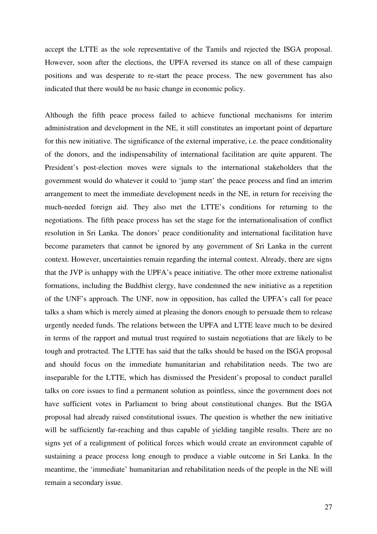accept the LTTE as the sole representative of the Tamils and rejected the ISGA proposal. However, soon after the elections, the UPFA reversed its stance on all of these campaign positions and was desperate to re-start the peace process. The new government has also indicated that there would be no basic change in economic policy.

Although the fifth peace process failed to achieve functional mechanisms for interim administration and development in the NE, it still constitutes an important point of departure for this new initiative. The significance of the external imperative, i.e. the peace conditionality of the donors, and the indispensability of international facilitation are quite apparent. The President's post-election moves were signals to the international stakeholders that the government would do whatever it could to 'jump start' the peace process and find an interim arrangement to meet the immediate development needs in the NE, in return for receiving the much-needed foreign aid. They also met the LTTE's conditions for returning to the negotiations. The fifth peace process has set the stage for the internationalisation of conflict resolution in Sri Lanka. The donors' peace conditionality and international facilitation have become parameters that cannot be ignored by any government of Sri Lanka in the current context. However, uncertainties remain regarding the internal context. Already, there are signs that the JVP is unhappy with the UPFA's peace initiative. The other more extreme nationalist formations, including the Buddhist clergy, have condemned the new initiative as a repetition of the UNF's approach. The UNF, now in opposition, has called the UPFA's call for peace talks a sham which is merely aimed at pleasing the donors enough to persuade them to release urgently needed funds. The relations between the UPFA and LTTE leave much to be desired in terms of the rapport and mutual trust required to sustain negotiations that are likely to be tough and protracted. The LTTE has said that the talks should be based on the ISGA proposal and should focus on the immediate humanitarian and rehabilitation needs. The two are inseparable for the LTTE, which has dismissed the President's proposal to conduct parallel talks on core issues to find a permanent solution as pointless, since the government does not have sufficient votes in Parliament to bring about constitutional changes. But the ISGA proposal had already raised constitutional issues. The question is whether the new initiative will be sufficiently far-reaching and thus capable of yielding tangible results. There are no signs yet of a realignment of political forces which would create an environment capable of sustaining a peace process long enough to produce a viable outcome in Sri Lanka. In the meantime, the 'immediate' humanitarian and rehabilitation needs of the people in the NE will remain a secondary issue.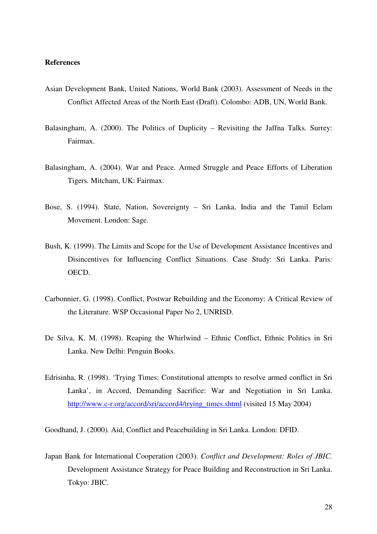## **References**

- Asian Development Bank, United Nations, World Bank (2003). Assessment of Needs in the Conflict Affected Areas of the North East (Draft). Colombo: ADB, UN, World Bank.
- Balasingham, A. (2000). The Politics of Duplicity Revisiting the Jaffna Talks*.* Surrey: Fairmax.
- Balasingham, A. (2004). War and Peace. Armed Struggle and Peace Efforts of Liberation Tigers*.* Mitcham, UK: Fairmax.
- Bose, S. (1994). State, Nation, Sovereignty Sri Lanka, India and the Tamil Eelam Movement. London: Sage.
- Bush, K. (1999). The Limits and Scope for the Use of Development Assistance Incentives and Disincentives for Influencing Conflict Situations. Case Study: Sri Lanka. Paris: OECD.
- Carbonnier, G. (1998). Conflict, Postwar Rebuilding and the Economy: A Critical Review of the Literature. WSP Occasional Paper No 2, UNRISD.
- De Silva, K. M. (1998). Reaping the Whirlwind Ethnic Conflict, Ethnic Politics in Sri Lanka. New Delhi: Penguin Books.
- Edrisinha, R. (1998). 'Trying Times: Constitutional attempts to resolve armed conflict in Sri Lanka', in Accord, Demanding Sacrifice: War and Negotiation in Sri Lanka. http://www.c-r.org/accord/sri/accord4/trying\_times.shtml (visited 15 May 2004)

Goodhand, J. (2000*).* Aid, Conflict and Peacebuilding in Sri Lanka. London: DFID.

Japan Bank for International Cooperation (2003). *Conflict and Development: Roles of JBIC.*  Development Assistance Strategy for Peace Building and Reconstruction in Sri Lanka. Tokyo: JBIC.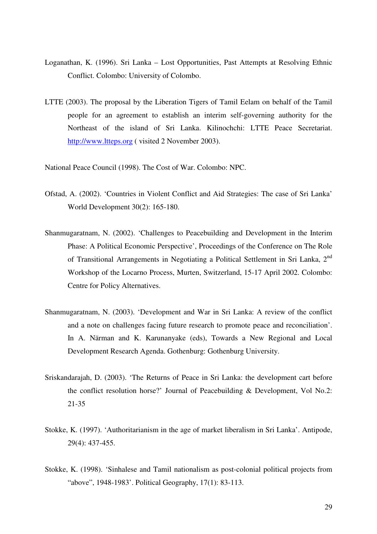- Loganathan, K. (1996). Sri Lanka Lost Opportunities, Past Attempts at Resolving Ethnic Conflict. Colombo: University of Colombo.
- LTTE (2003). The proposal by the Liberation Tigers of Tamil Eelam on behalf of the Tamil people for an agreement to establish an interim self-governing authority for the Northeast of the island of Sri Lanka. Kilinochchi: LTTE Peace Secretariat. http://www.ltteps.org ( visited 2 November 2003).

National Peace Council (1998). The Cost of War. Colombo: NPC.

- Ofstad, A. (2002). 'Countries in Violent Conflict and Aid Strategies: The case of Sri Lanka' World Development 30(2): 165-180.
- Shanmugaratnam, N. (2002). 'Challenges to Peacebuilding and Development in the Interim Phase: A Political Economic Perspective', Proceedings of the Conference on The Role of Transitional Arrangements in Negotiating a Political Settlement in Sri Lanka, 2<sup>nd</sup> Workshop of the Locarno Process, Murten, Switzerland, 15-17 April 2002. Colombo: Centre for Policy Alternatives.
- Shanmugaratnam, N. (2003). 'Development and War in Sri Lanka: A review of the conflict and a note on challenges facing future research to promote peace and reconciliation'. In A. Närman and K. Karunanyake (eds), Towards a New Regional and Local Development Research Agenda. Gothenburg: Gothenburg University.
- Sriskandarajah, D. (2003). 'The Returns of Peace in Sri Lanka: the development cart before the conflict resolution horse?' Journal of Peacebuilding & Development, Vol No.2: 21-35
- Stokke, K. (1997). 'Authoritarianism in the age of market liberalism in Sri Lanka'. Antipode, 29(4): 437-455.
- Stokke, K. (1998). 'Sinhalese and Tamil nationalism as post-colonial political projects from "above", 1948-1983'. Political Geography, 17(1): 83-113.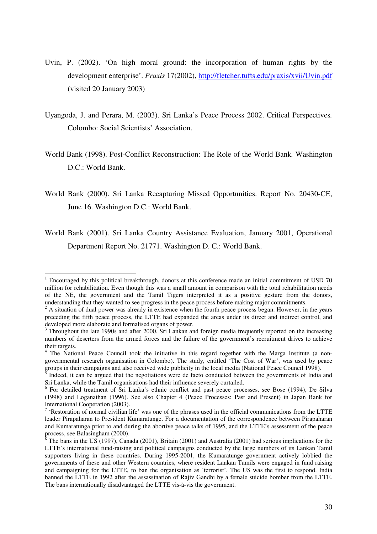- Uvin, P. (2002). 'On high moral ground: the incorporation of human rights by the development enterprise'. *Praxis* 17(2002), http://fletcher.tufts.edu/praxis/xvii/Uvin.pdf (visited 20 January 2003)
- Uyangoda, J. and Perara, M. (2003). Sri Lanka's Peace Process 2002. Critical Perspectives*.* Colombo: Social Scientists' Association.
- World Bank (1998**)**. Post-Conflict Reconstruction: The Role of the World Bank*.* Washington D.C.: World Bank.
- World Bank (2000). Sri Lanka Recapturing Missed Opportunities. Report No. 20430-CE, June 16. Washington D.C.: World Bank.
- World Bank (2001). Sri Lanka Country Assistance Evaluation, January 2001, Operational Department Report No. 21771. Washington D. C.: World Bank.

 $\overline{a}$ <sup>1</sup> Encouraged by this political breakthrough, donors at this conference made an initial commitment of USD 70 million for rehabilitation. Even though this was a small amount in comparison with the total rehabilitation needs of the NE, the government and the Tamil Tigers interpreted it as a positive gesture from the donors, understanding that they wanted to see progress in the peace process before making major commitments.

 $2A$  situation of dual power was already in existence when the fourth peace process began. However, in the years preceding the fifth peace process, the LTTE had expanded the areas under its direct and indirect control, and developed more elaborate and formalised organs of power.

<sup>&</sup>lt;sup>3</sup> Throughout the late 1990s and after 2000, Sri Lankan and foreign media frequently reported on the increasing numbers of deserters from the armed forces and the failure of the government's recruitment drives to achieve their targets.

<sup>&</sup>lt;sup>4</sup> The National Peace Council took the initiative in this regard together with the Marga Institute (a nongovernmental research organisation in Colombo). The study, entitled 'The Cost of War', was used by peace groups in their campaigns and also received wide publicity in the local media (National Peace Council 1998).

<sup>5</sup> Indeed, it can be argued that the negotiations were de facto conducted between the governments of India and Sri Lanka, while the Tamil organisations had their influence severely curtailed.

<sup>&</sup>lt;sup>6</sup> For detailed treatment of Sri Lanka's ethnic conflict and past peace processes, see Bose (1994), De Silva (1998) and Loganathan (1996). See also Chapter 4 (Peace Processes: Past and Present) in Japan Bank for International Cooperation (2003).

 $<sup>7</sup>$  'Restoration of normal civilian life' was one of the phrases used in the official communications from the LTTE</sup> leader Pirapaharan to President Kumaratunge. For a documentation of the correspondence between Pirapaharan and Kumaratunga prior to and during the abortive peace talks of 1995, and the LTTE's assessment of the peace process, see Balasingham (2000).

 $8$  The bans in the US (1997), Canada (2001), Britain (2001) and Australia (2001) had serious implications for the LTTE's international fund-raising and political campaigns conducted by the large numbers of its Lankan Tamil supporters living in these countries. During 1995-2001, the Kumaratunge government actively lobbied the governments of these and other Western countries, where resident Lankan Tamils were engaged in fund raising and campaigning for the LTTE, to ban the organisation as 'terrorist'. The US was the first to respond. India banned the LTTE in 1992 after the assassination of Rajiv Gandhi by a female suicide bomber from the LTTE. The bans internationally disadvantaged the LTTE vis-à-vis the government.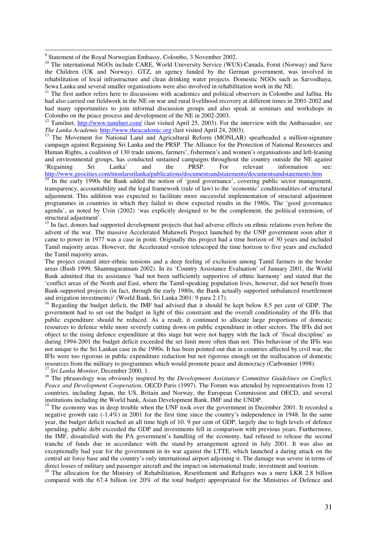<sup>9</sup> Statement of the Royal Norwegian Embassy, Colombo, 3 November 2002.

<sup>10</sup> The international NGOs include CARE, World University Service (WUS)-Canada, Forut (Norway) and Save the Children (UK and Norway). GTZ, an agency funded by the German government, was involved in rehabilitation of local infrastructure and clean drinking water projects. Domestic NGOs such as Sarvodhaya, Sewa Lanka and several smaller organisations were also involved in rehabilitation work in the NE.

 $11$  The first author refers here to discussions with academics and political observers in Colombo and Jaffna. He had also carried out fieldwork in the NE on war and rural livelihood recovery at different times in 2001-2002 and had many opportunities to join informal discussion groups and also speak at seminars and workshops in Colombo on the peace process and development of the NE in 2002-2003.

<sup>12</sup> Tamilnet, http://www.tamilnet.com/ (last visited April 25, 2003). For the interview with the Ambassador, see *The Lanka Academic* http://www.theacademic.org (last visited April 24, 2003).

<sup>13</sup> The Movement for National Land and Agricultural Reform (MONLAR) spearheaded a million-signature campaign against Regaining Sri Lanka and the PRSP. The Alliance for the Protection of National Resources and Human Rights, a coalition of 130 trade unions, farmers', fishermen's and women's organisations and left-leaning and environmental groups, has conducted sustained campaigns throughout the country outside the NE against 'Regaining Sri Lanka' and the PRSP. For relevant information see: http://www.geocities.com/monlarsrilanka/publications/documentsandstatements/documentsandstatements.htm

 $\frac{14}{14}$  In the early 1990s the Bank added the notion of 'good governance', covering public sector management, transparency, accountability and the legal framework (rule of law) to the 'economic' conditionalities of structural adjustment. This addition was expected to facilitate more successful implementation of structural adjustment programmes in countries in which they failed to show expected results in the 1980s. The 'good governance agenda', as noted by Uvin (2002) 'was explicitly designed to be the complement, the political extension, of structural adjustment'.

<sup>15</sup> In fact, donors had supported development projects that had adverse effects on ethnic relations even before the advent of the war. The massive Accelerated Mahaweli Project launched by the UNP government soon after it came to power in 1977 was a case in point. Originally this project had a time horizon of 30 years and included Tamil majority areas. However, the Accelerated version telescoped the time horizon to five years and excluded the Tamil majority areas.

The project created inter-ethnic tensions and a deep feeling of exclusion among Tamil farmers in the border areas (Bush 1999, Shanmugaratnam 2002). In its 'Country Assistance Evaluation' of January 2001, the World Bank admitted that its assistance 'had not been sufficiently supportive of ethnic harmony' and stated that the 'conflict areas of the North and East, where the Tamil-speaking population lives, however, did not benefit from Bank-supported projects (in fact, through the early 1980s, the Bank actually supported unbalanced resettlement and irrigation investments)' (World Bank, Sri Lanka 2001: 9 para 2.17).

<sup>16</sup> Regarding the budget deficit, the IMF had advised that it should be kept below 8.5 per cent of GDP. The government had to set out the budget in light of this constraint and the overall conditionality of the IFIs that public expenditure should be reduced. As a result, it continued to allocate large proportions of domestic resources to defence while more severely cutting down on public expenditure in other sectors. The IFIs did not object to the rising defence expenditure at this stage but were not happy with the lack of 'fiscal discipline' as during 1994-2001 the budget deficit exceeded the set limit more often than not. This behaviour of the IFIs was not unique to the Sri Lankan case in the 1990s. It has been pointed out that in countries affected by civil war, the IFIs were too rigorous in public expenditure reduction but not rigorous enough on the reallocation of domestic resources from the military to programmes which would promote peace and democracy (Carbonnier 1998). <sup>17</sup> *Sri Lanka Monitor*, December 2000, 1.

<sup>18</sup> The phraseology was obviously inspired by the *Development Assistance Committee Guidelines on Conflict*, *Peace and Development Cooperation*, OECD Paris (1997). The Forum was attended by representatives from 12 countries, including Japan, the US, Britain and Norway, the European Commission and OECD, and several institutions including the World bank, Asian Development Bank, IMF and the UNDP.

<sup>19</sup> The economy was in deep trouble when the UNF took over the government in December 2001. It recorded a negative growth rate (-1.4%) in 2001 for the first time since the country's independence in 1948. In the same year, the budget deficit reached an all time high of 10. 9 per cent of GDP, largely due to high levels of defence spending, public debt exceeded the GDP and investments fell in comparison with previous years. Furthermore, the IMF, dissatisfied with the PA government's handling of the economy, had refused to release the second tranche of funds due in accordance with the stand-by arrangement agreed in July 2001. It was also an exceptionally bad year for the government in its war against the LTTE, which launched a daring attack on the central air force base and the country's only international airport adjoining it. The damage was severe in terms of direct losses of military and passenger aircraft and the impact on international trade, investment and tourism.

<sup>20</sup> The allocation for the Ministry of Rehabilitation, Resettlement and Refugees was a mere LKR 2.8 billion compared with the 67.4 billion (or 20% of the total budget) appropriated for the Ministries of Defence and